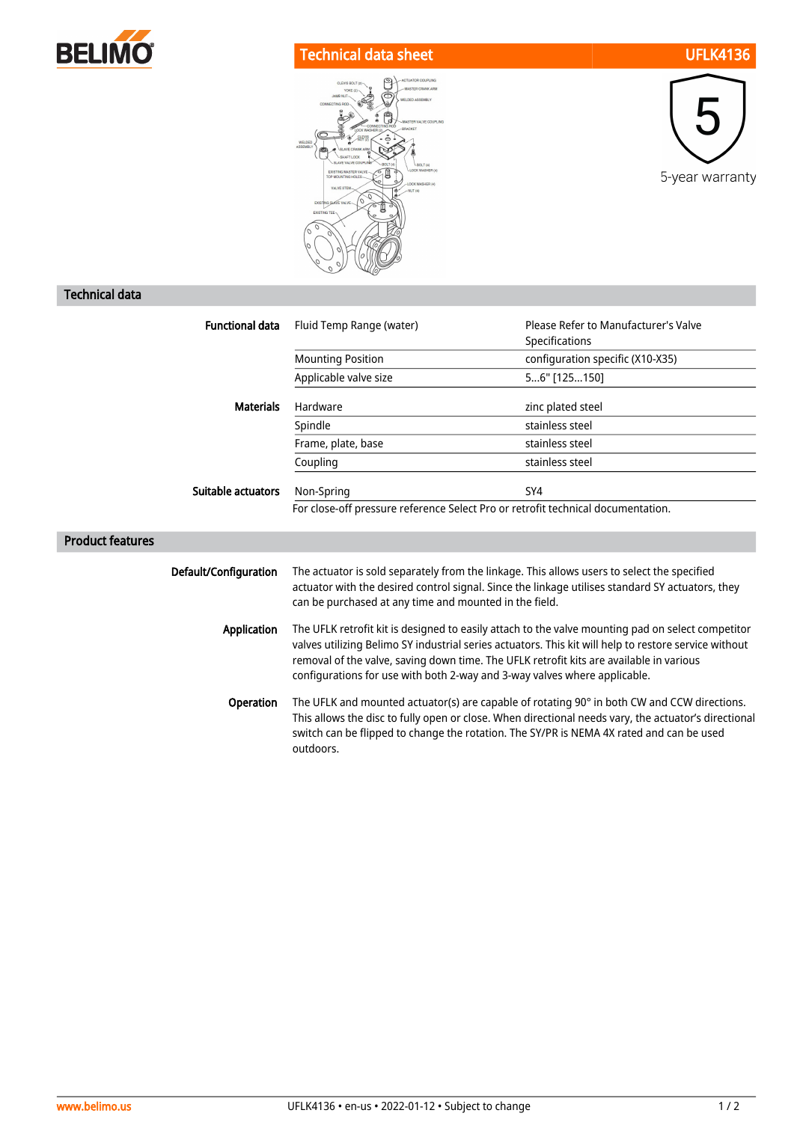

## Technical data sheet UFLK4136





## Technical data

| <b>Functional data</b>  | Fluid Temp Range (water)                                                                                                                                                                                                                                                                                                                                                           | Please Refer to Manufacturer's Valve |
|-------------------------|------------------------------------------------------------------------------------------------------------------------------------------------------------------------------------------------------------------------------------------------------------------------------------------------------------------------------------------------------------------------------------|--------------------------------------|
|                         |                                                                                                                                                                                                                                                                                                                                                                                    | Specifications                       |
|                         | <b>Mounting Position</b>                                                                                                                                                                                                                                                                                                                                                           | configuration specific (X10-X35)     |
|                         | Applicable valve size                                                                                                                                                                                                                                                                                                                                                              | 56" [125150]                         |
| <b>Materials</b>        | Hardware                                                                                                                                                                                                                                                                                                                                                                           | zinc plated steel                    |
|                         | Spindle                                                                                                                                                                                                                                                                                                                                                                            | stainless steel                      |
|                         | Frame, plate, base                                                                                                                                                                                                                                                                                                                                                                 | stainless steel                      |
|                         | Coupling                                                                                                                                                                                                                                                                                                                                                                           | stainless steel                      |
| Suitable actuators      | Non-Spring                                                                                                                                                                                                                                                                                                                                                                         | SY4                                  |
|                         | For close-off pressure reference Select Pro or retrofit technical documentation.                                                                                                                                                                                                                                                                                                   |                                      |
| <b>Product features</b> |                                                                                                                                                                                                                                                                                                                                                                                    |                                      |
| Default/Configuration   | The actuator is sold separately from the linkage. This allows users to select the specified<br>actuator with the desired control signal. Since the linkage utilises standard SY actuators, they<br>can be purchased at any time and mounted in the field.                                                                                                                          |                                      |
| Application             | The UFLK retrofit kit is designed to easily attach to the valve mounting pad on select competitor<br>valves utilizing Belimo SY industrial series actuators. This kit will help to restore service without<br>removal of the valve, saving down time. The UFLK retrofit kits are available in various<br>configurations for use with both 2-way and 3-way valves where applicable. |                                      |
| Operation               | The UFLK and mounted actuator(s) are capable of rotating 90° in both CW and CCW directions.<br>This allows the disc to fully open or close. When directional needs vary, the actuator's directional<br>switch can be flipped to change the rotation. The SY/PR is NEMA 4X rated and can be used<br>outdoors.                                                                       |                                      |